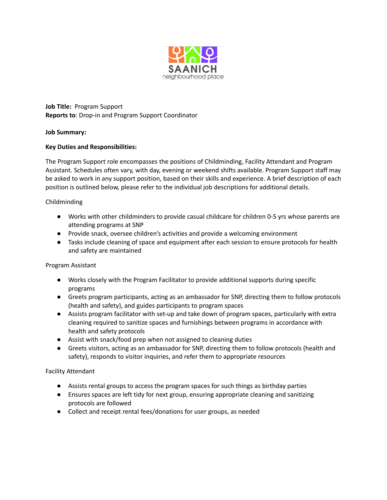

**Job Title:** Program Support **Reports to**: Drop-in and Program Support Coordinator

# **Job Summary:**

### **Key Duties and Responsibilities:**

The Program Support role encompasses the positions of Childminding, Facility Attendant and Program Assistant. Schedules often vary, with day, evening or weekend shifts available. Program Support staff may be asked to work in any support position, based on their skills and experience. A brief description of each position is outlined below, please refer to the individual job descriptions for additional details.

# Childminding

- Works with other childminders to provide casual childcare for children 0-5 yrs whose parents are attending programs at SNP
- Provide snack, oversee children's activities and provide a welcoming environment
- Tasks include cleaning of space and equipment after each session to ensure protocols for health and safety are maintained

### Program Assistant

- Works closely with the Program Facilitator to provide additional supports during specific programs
- Greets program participants, acting as an ambassador for SNP, directing them to follow protocols (health and safety), and guides participants to program spaces
- Assists program facilitator with set-up and take down of program spaces, particularly with extra cleaning required to sanitize spaces and furnishings between programs in accordance with health and safety protocols
- Assist with snack/food prep when not assigned to cleaning duties
- Greets visitors, acting as an ambassador for SNP, directing them to follow protocols (health and safety), responds to visitor inquiries, and refer them to appropriate resources

### Facility Attendant

- Assists rental groups to access the program spaces for such things as birthday parties
- Ensures spaces are left tidy for next group, ensuring appropriate cleaning and sanitizing protocols are followed
- Collect and receipt rental fees/donations for user groups, as needed